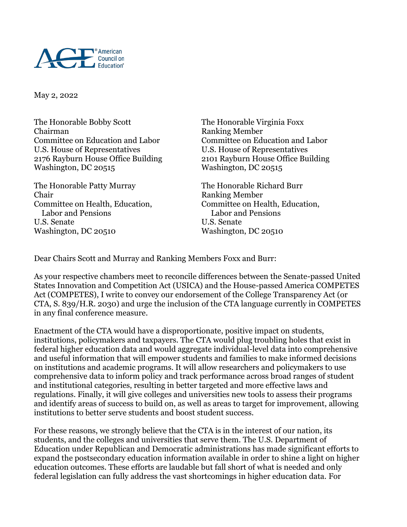

May 2, 2022

The Honorable Bobby Scott The Honorable Virginia Foxx Chairman Ranking Member Committee on Education and Labor Committee on Education and Labor U.S. House of Representatives U.S. House of Representatives 2176 Rayburn House Office Building 2101 Rayburn House Office Building Washington, DC 20515 Washington, DC 20515

The Honorable Patty Murray The Honorable Richard Burr Chair Ranking Member Labor and Pensions U.S. Senate U.S. Senate Washington, DC 20510 Washington, DC 20510

Committee on Health, Education,<br>
Labor and Pensions<br>
Labor and Pensions<br>
Committee on Health, Education,

Dear Chairs Scott and Murray and Ranking Members Foxx and Burr:

As your respective chambers meet to reconcile differences between the Senate-passed United States Innovation and Competition Act (USICA) and the House-passed America COMPETES Act (COMPETES), I write to convey our endorsement of the College Transparency Act (or CTA, S. 839/H.R. 2030) and urge the inclusion of the CTA language currently in COMPETES in any final conference measure.

Enactment of the CTA would have a disproportionate, positive impact on students, institutions, policymakers and taxpayers. The CTA would plug troubling holes that exist in federal higher education data and would aggregate individual-level data into comprehensive and useful information that will empower students and families to make informed decisions on institutions and academic programs. It will allow researchers and policymakers to use comprehensive data to inform policy and track performance across broad ranges of student and institutional categories, resulting in better targeted and more effective laws and regulations. Finally, it will give colleges and universities new tools to assess their programs and identify areas of success to build on, as well as areas to target for improvement, allowing institutions to better serve students and boost student success.

For these reasons, we strongly believe that the CTA is in the interest of our nation, its students, and the colleges and universities that serve them. The U.S. Department of Education under Republican and Democratic administrations has made significant efforts to expand the postsecondary education information available in order to shine a light on higher education outcomes. These efforts are laudable but fall short of what is needed and only federal legislation can fully address the vast shortcomings in higher education data. For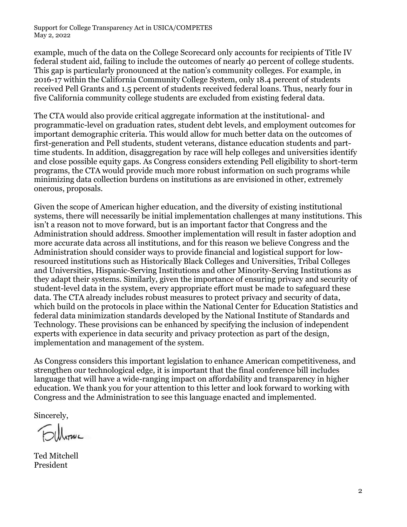Support for College Transparency Act in USICA/COMPETES May 2, 2022

example, much of the data on the College Scorecard only accounts for recipients of Title IV federal student aid, failing to include the outcomes of nearly 40 percent of college students. This gap is particularly pronounced at the nation's community colleges. For example, in 2016-17 within the California Community College System, only 18.4 percent of students received Pell Grants and 1.5 percent of students received federal loans. Thus, nearly four in five California community college students are excluded from existing federal data.

The CTA would also provide critical aggregate information at the institutional- and programmatic-level on graduation rates, student debt levels, and employment outcomes for important demographic criteria. This would allow for much better data on the outcomes of first-generation and Pell students, student veterans, distance education students and parttime students. In addition, disaggregation by race will help colleges and universities identify and close possible equity gaps. As Congress considers extending Pell eligibility to short-term programs, the CTA would provide much more robust information on such programs while minimizing data collection burdens on institutions as are envisioned in other, extremely onerous, proposals.

Given the scope of American higher education, and the diversity of existing institutional systems, there will necessarily be initial implementation challenges at many institutions. This isn't a reason not to move forward, but is an important factor that Congress and the Administration should address. Smoother implementation will result in faster adoption and more accurate data across all institutions, and for this reason we believe Congress and the Administration should consider ways to provide financial and logistical support for lowresourced institutions such as Historically Black Colleges and Universities, Tribal Colleges and Universities, Hispanic-Serving Institutions and other Minority-Serving Institutions as they adapt their systems. Similarly, given the importance of ensuring privacy and security of student-level data in the system, every appropriate effort must be made to safeguard these data. The CTA already includes robust measures to protect privacy and security of data, which build on the protocols in place within the National Center for Education Statistics and federal data minimization standards developed by the National Institute of Standards and Technology. These provisions can be enhanced by specifying the inclusion of independent experts with experience in data security and privacy protection as part of the design, implementation and management of the system.

As Congress considers this important legislation to enhance American competitiveness, and strengthen our technological edge, it is important that the final conference bill includes language that will have a wide-ranging impact on affordability and transparency in higher education. We thank you for your attention to this letter and look forward to working with Congress and the Administration to see this language enacted and implemented.

Sincerely,

Fillonic

Ted Mitchell President